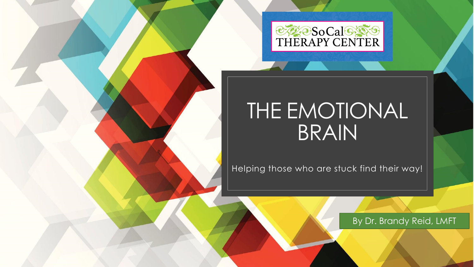

## THE EMOTIONAL BRAIN

Helping those who are stuck find their way!

By Dr. Brandy Reid, LMFT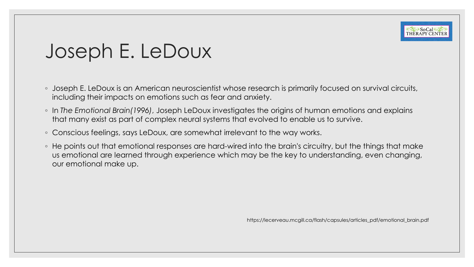

### Joseph E. LeDoux

- Joseph E. LeDoux is an American neuroscientist whose research is primarily focused on survival circuits, including their impacts on emotions such as fear and anxiety.
- In *The Emotional Brain(1996)*, Joseph LeDoux investigates the origins of human emotions and explains that many exist as part of complex neural systems that evolved to enable us to survive.
- Conscious feelings, says LeDoux, are somewhat irrelevant to the way works.
- He points out that emotional responses are hard-wired into the brain's circuitry, but the things that make us emotional are learned through experience which may be the key to understanding, even changing, our emotional make up.

https://lecerveau.mcgill.ca/flash/capsules/articles\_pdf/emotional\_brain.pdf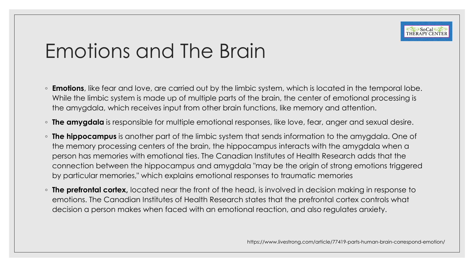

## Emotions and The Brain

- **Emotions**, like fear and love, are carried out by the limbic system, which is located in the temporal lobe. While the limbic system is made up of multiple parts of the brain, the center of emotional processing is the amygdala, which receives input from other brain functions, like memory and attention.
- **The amygdala** is responsible for multiple emotional responses, like love, fear, anger and sexual desire.
- **The hippocampus** is another part of the limbic system that sends information to the amygdala. One of the memory processing centers of the brain, the hippocampus interacts with the amygdala when a person has memories with emotional ties. The Canadian Institutes of Health Research adds that the connection between the hippocampus and amygdala "may be the origin of strong emotions triggered by particular memories," which explains emotional responses to traumatic memories
- **The prefrontal cortex,** located near the front of the head, is involved in decision making in response to emotions. The Canadian Institutes of Health Research states that the prefrontal cortex controls what decision a person makes when faced with an emotional reaction, and also regulates anxiety.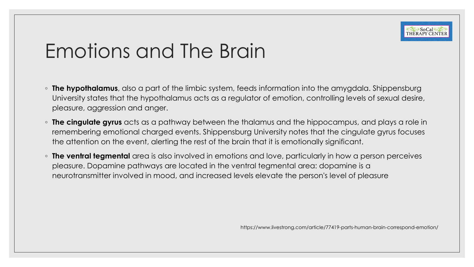

## Emotions and The Brain

- **The hypothalamus**, also a part of the limbic system, feeds information into the amygdala. Shippensburg University states that the hypothalamus acts as a regulator of emotion, controlling levels of sexual desire, pleasure, aggression and anger.
- **The cingulate gyrus** acts as a pathway between the thalamus and the hippocampus, and plays a role in remembering emotional charged events. Shippensburg University notes that the cingulate gyrus focuses the attention on the event, alerting the rest of the brain that it is emotionally significant.
- **The ventral tegmental** area is also involved in emotions and love, particularly in how a person perceives pleasure. Dopamine pathways are located in the ventral tegmental area: dopamine is a neurotransmitter involved in mood, and increased levels elevate the person's level of pleasure

https://www.livestrong.com/article/77419-parts-human-brain-correspond-emotion/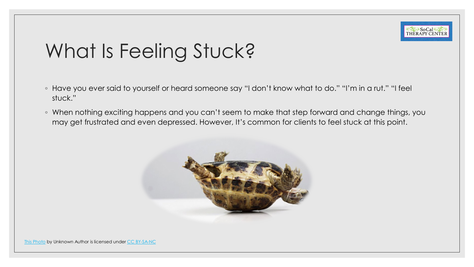

## What Is Feeling Stuck?

- Have you ever said to yourself or heard someone say "I don't know what to do." "I'm in a rut." "I feel stuck."
- When nothing exciting happens and you can't seem to make that step forward and change things, you may get frustrated and even depressed. However, It's common for clients to feel stuck at this point.

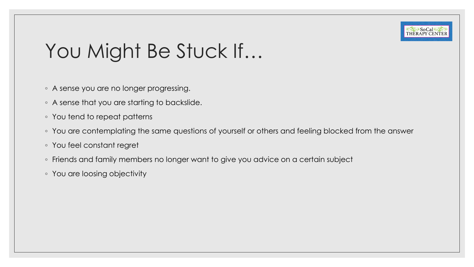

# You Might Be Stuck If...

- A sense you are no longer progressing.
- A sense that you are starting to backslide.
- You tend to repeat patterns
- You are contemplating the same questions of yourself or others and feeling blocked from the answer
- You feel constant regret
- Friends and family members no longer want to give you advice on a certain subject
- You are loosing objectivity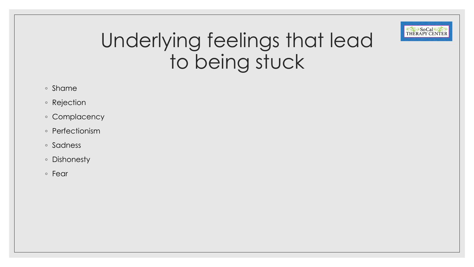

## Underlying feelings that lead to being stuck

- Shame
- Rejection
- Complacency
- Perfectionism
- Sadness
- Dishonesty
- Fear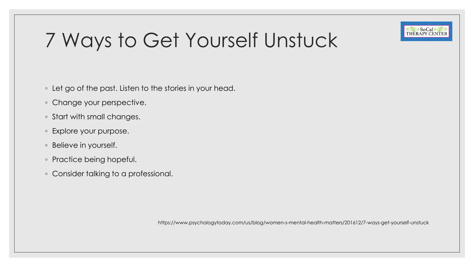

# 7 Ways to Get Yourself Unstuck

- Let go of the past. Listen to the stories in your head.
- Change your perspective.
- Start with small changes.
- Explore your purpose.
- Believe in yourself.
- Practice being hopeful.
- Consider talking to a professional.

https://www.psychologytoday.com/us/blog/women-s-mental-health-matters/201612/7-ways-get-yourself-unstuck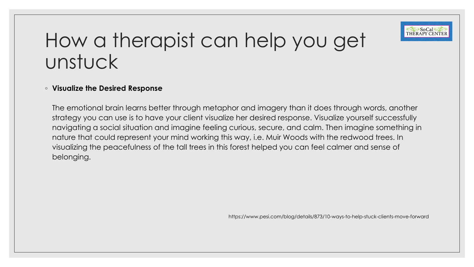

#### ◦ **Visualize the Desired Response**

The emotional brain learns better through metaphor and imagery than it does through words, another strategy you can use is to have your client visualize her desired response. Visualize yourself successfully navigating a social situation and imagine feeling curious, secure, and calm. Then imagine something in nature that could represent your mind working this way, i.e. Muir Woods with the redwood trees. In visualizing the peacefulness of the tall trees in this forest helped you can feel calmer and sense of belonging.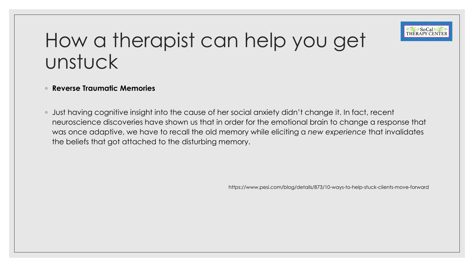

#### ◦ **Reverse Traumatic Memories**

◦ Just having cognitive insight into the cause of her social anxiety didn't change it. In fact, recent neuroscience discoveries have shown us that in order for the emotional brain to change a response that was once adaptive, we have to recall the old memory while eliciting a *new experience* that invalidates the beliefs that got attached to the disturbing memory.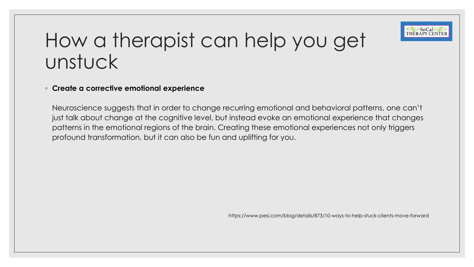

#### ◦ **Create a corrective emotional experience**

Neuroscience suggests that in order to change recurring emotional and behavioral patterns, one can't just talk about change at the cognitive level, but instead evoke an emotional experience that changes patterns in the emotional regions of the brain. Creating these emotional experiences not only triggers profound transformation, but it can also be fun and uplifting for you.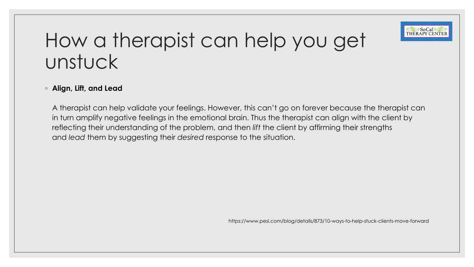

#### ◦ **Align, Lift, and Lead**

A therapist can help validate your feelings. However, this can't go on forever because the therapist can in turn amplify negative feelings in the emotional brain. Thus the therapist can align with the client by reflecting their understanding of the problem, and then *lift* the client by affirming their strengths and *lead* them by suggesting their *desired* response to the situation.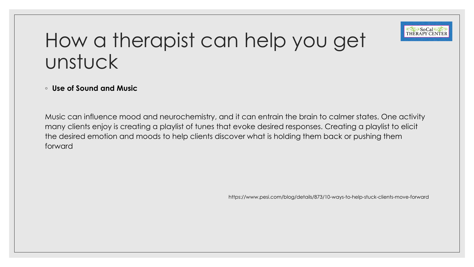

#### ◦ **Use of Sound and Music**

Music can influence mood and neurochemistry, and it can entrain the brain to calmer states. One activity many clients enjoy is creating a playlist of tunes that evoke desired responses. Creating a playlist to elicit the desired emotion and moods to help clients discover what is holding them back or pushing them forward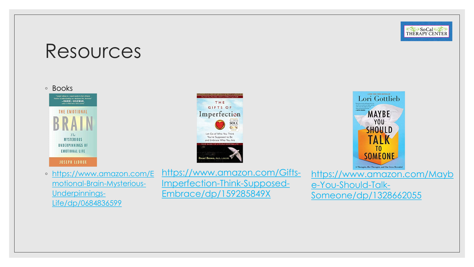

#### Resources

◦ Books







◦ [https://www.amazon.com/E](https://www.amazon.com/Emotional-Brain-Mysterious-Underpinnings-Life/dp/0684836599) motional-Brain-Mysterious-Underpinnings-Life/dp/0684836599

[https://www.amazon.com/Gifts-](https://www.amazon.com/Gifts-Imperfection-Think-Supposed-Embrace/dp/159285849X)Imperfection-Think-Supposed-Embrace/dp/159285849X

[https://www.amazon.com/Mayb](https://www.amazon.com/Maybe-You-Should-Talk-Someone/dp/1328662055) e-You-Should-Talk-Someone/dp/1328662055